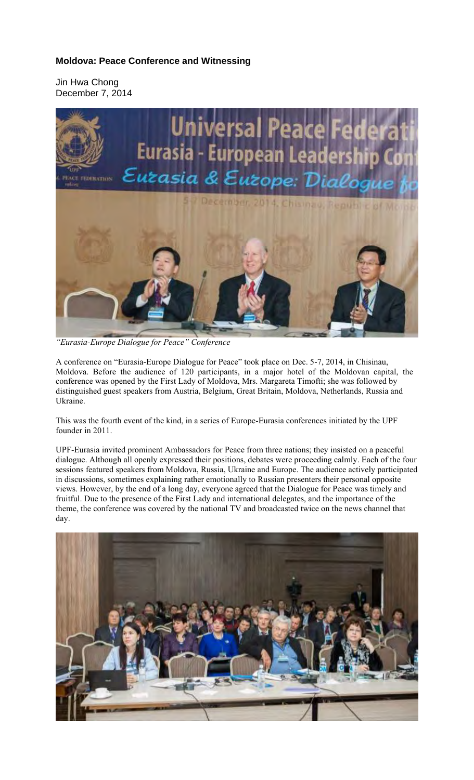## **Moldova: Peace Conference and Witnessing**

Jin Hwa Chong December 7, 2014



*"Eurasia-Europe Dialogue for Peace" Conference* 

A conference on "Eurasia-Europe Dialogue for Peace" took place on Dec. 5-7, 2014, in Chisinau, Moldova. Before the audience of 120 participants, in a major hotel of the Moldovan capital, the conference was opened by the First Lady of Moldova, Mrs. Margareta Timofti; she was followed by distinguished guest speakers from Austria, Belgium, Great Britain, Moldova, Netherlands, Russia and Ukraine.

This was the fourth event of the kind, in a series of Europe-Eurasia conferences initiated by the UPF founder in 2011.

UPF-Eurasia invited prominent Ambassadors for Peace from three nations; they insisted on a peaceful dialogue. Although all openly expressed their positions, debates were proceeding calmly. Each of the four sessions featured speakers from Moldova, Russia, Ukraine and Europe. The audience actively participated in discussions, sometimes explaining rather emotionally to Russian presenters their personal opposite views. However, by the end of a long day, everyone agreed that the Dialogue for Peace was timely and fruitful. Due to the presence of the First Lady and international delegates, and the importance of the theme, the conference was covered by the national TV and broadcasted twice on the news channel that day.